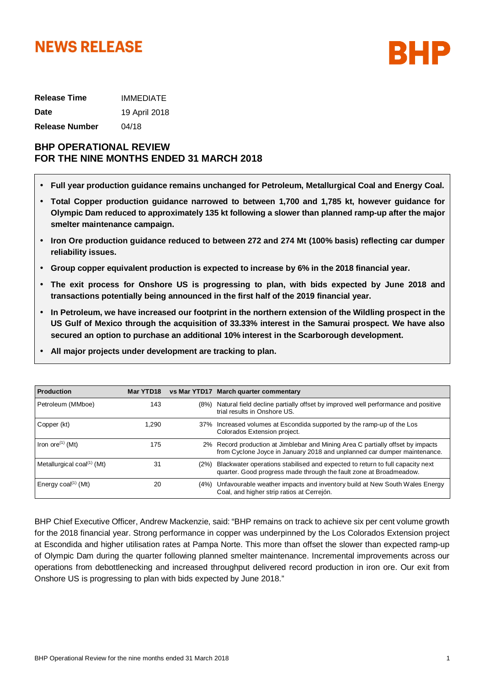# **NEWS RELEASE**



| <b>Release Time</b> | <b>IMMEDIATE</b> |
|---------------------|------------------|
| Date                | 19 April 2018    |
| Release Number      | 04/18            |

# **BHP OPERATIONAL REVIEW FOR THE NINE MONTHS ENDED 31 MARCH 2018**

- **Full year production guidance remains unchanged for Petroleum, Metallurgical Coal and Energy Coal.**
- **Total Copper production guidance narrowed to between 1,700 and 1,785 kt, however guidance for Olympic Dam reduced to approximately 135 kt following a slower than planned ramp-up after the major smelter maintenance campaign.**
- **Iron Ore production guidance reduced to between 272 and 274 Mt (100% basis) reflecting car dumper reliability issues.**
- **Group copper equivalent production is expected to increase by 6% in the 2018 financial year.**
- **The exit process for Onshore US is progressing to plan, with bids expected by June 2018 and transactions potentially being announced in the first half of the 2019 financial year.**
- **In Petroleum, we have increased our footprint in the northern extension of the Wildling prospect in the US Gulf of Mexico through the acquisition of 33.33% interest in the Samurai prospect. We have also secured an option to purchase an additional 10% interest in the Scarborough development.**
- **All major projects under development are tracking to plan.**

| <b>Production</b>                         | Mar YTD18 |      | vs Mar YTD17 March quarter commentary                                                                                                                       |
|-------------------------------------------|-----------|------|-------------------------------------------------------------------------------------------------------------------------------------------------------------|
| Petroleum (MMboe)                         | 143       | (8%) | Natural field decline partially offset by improved well performance and positive<br>trial results in Onshore US.                                            |
| Copper (kt)                               | 1.290     |      | 37% Increased volumes at Escondida supported by the ramp-up of the Los<br>Colorados Extension project.                                                      |
| Iron ore <sup><math>(1)</math></sup> (Mt) | 175       |      | 2% Record production at Jimblebar and Mining Area C partially offset by impacts<br>from Cyclone Joyce in January 2018 and unplanned car dumper maintenance. |
| Metallurgical coal $^{(1)}$ (Mt)          | 31        | (2%) | Blackwater operations stabilised and expected to return to full capacity next<br>quarter. Good progress made through the fault zone at Broadmeadow.         |
| Energy $coal^{(1)}$ (Mt)                  | 20        | (4%) | Unfavourable weather impacts and inventory build at New South Wales Energy<br>Coal, and higher strip ratios at Cerrejón.                                    |

BHP Chief Executive Officer, Andrew Mackenzie, said: "BHP remains on track to achieve six per cent volume growth for the 2018 financial year. Strong performance in copper was underpinned by the Los Colorados Extension project at Escondida and higher utilisation rates at Pampa Norte. This more than offset the slower than expected ramp-up of Olympic Dam during the quarter following planned smelter maintenance. Incremental improvements across our operations from debottlenecking and increased throughput delivered record production in iron ore. Our exit from Onshore US is progressing to plan with bids expected by June 2018."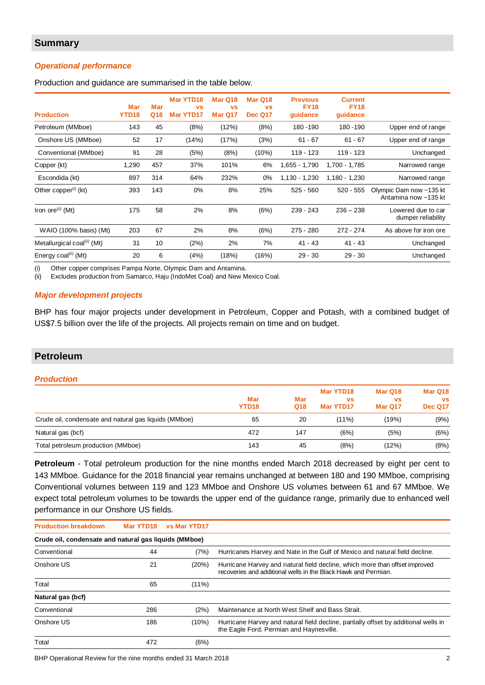# **Summary**

## *Operational performance*

Production and guidance are summarised in the table below.

| <b>Production</b>                       | <b>Mar</b><br>YTD18 | <b>Mar</b><br>Q18 | <b>Mar YTD18</b><br><b>VS</b><br><b>Mar YTD17</b> | Mar Q18<br><b>VS</b><br>Mar Q17 | Mar Q18<br><b>VS</b><br><b>Dec Q17</b> | <b>Previous</b><br><b>FY18</b><br>guidance | <b>Current</b><br><b>FY18</b><br>guidance |                                                 |
|-----------------------------------------|---------------------|-------------------|---------------------------------------------------|---------------------------------|----------------------------------------|--------------------------------------------|-------------------------------------------|-------------------------------------------------|
| Petroleum (MMboe)                       | 143                 | 45                | (8%)                                              | (12%)                           | (8%)                                   | 180 - 190                                  | 180 - 190                                 | Upper end of range                              |
| Onshore US (MMboe)                      | 52                  | 17                | (14%)                                             | (17%)                           | (3%)                                   | $61 - 67$                                  | $61 - 67$                                 | Upper end of range                              |
| Conventional (MMboe)                    | 91                  | 28                | (5%)                                              | (8%)                            | (10%)                                  | $119 - 123$                                | $119 - 123$                               | Unchanged                                       |
| Copper (kt)                             | 1,290               | 457               | 37%                                               | 101%                            | 6%                                     | 1,655 - 1,790                              | 1,700 - 1,785                             | Narrowed range                                  |
| Escondida (kt)                          | 897                 | 314               | 64%                                               | 232%                            | 0%                                     | $1,130 - 1,230$                            | 1,180 - 1,230                             | Narrowed range                                  |
| Other copper $(1)$ (kt)                 | 393                 | 143               | $0\%$                                             | 8%                              | 25%                                    | $525 - 560$                                | $520 - 555$                               | Olympic Dam now ~135 kt<br>Antamina now ~135 kt |
| Iron ore $(i)$ (Mt)                     | 175                 | 58                | 2%                                                | 8%                              | (6%)                                   | 239 - 243                                  | $236 - 238$                               | Lowered due to car<br>dumper reliability        |
| WAIO (100% basis) (Mt)                  | 203                 | 67                | 2%                                                | 8%                              | (6%)                                   | 275 - 280                                  | $272 - 274$                               | As above for iron ore                           |
| Metallurgical coal <sup>(ii)</sup> (Mt) | 31                  | 10                | (2%)                                              | 2%                              | 7%                                     | $41 - 43$                                  | $41 - 43$                                 | Unchanged                                       |
| Energy coal <sup>(ii)</sup> (Mt)        | 20                  | 6                 | (4%)                                              | (18%)                           | (16%)                                  | $29 - 30$                                  | $29 - 30$                                 | Unchanged                                       |

(i) Other copper comprises Pampa Norte, Olympic Dam and Antamina.

(ii) Excludes production from Samarco, Haju (IndoMet Coal) and New Mexico Coal.

#### *Major development projects*

BHP has four major projects under development in Petroleum, Copper and Potash, with a combined budget of US\$7.5 billion over the life of the projects. All projects remain on time and on budget.

# **Petroleum**

#### *Production*

|                                                       | Mar<br>YTD <sub>18</sub> | Mar<br>Q18 | Mar YTD18<br><b>VS</b><br>Mar YTD17 | Mar Q18<br><b>VS</b><br>Mar Q17 | Mar Q18<br><b>VS</b><br><b>Dec Q17</b> |
|-------------------------------------------------------|--------------------------|------------|-------------------------------------|---------------------------------|----------------------------------------|
| Crude oil, condensate and natural gas liquids (MMboe) | 65                       | 20         | $(11\%)$                            | (19%)                           | (9%)                                   |
| Natural gas (bcf)                                     | 472                      | 147        | (6%)                                | (5%)                            | (6%)                                   |
| Total petroleum production (MMboe)                    | 143                      | 45         | (8%)                                | (12%)                           | (8%)                                   |

**Petroleum** - Total petroleum production for the nine months ended March 2018 decreased by eight per cent to 143 MMboe. Guidance for the 2018 financial year remains unchanged at between 180 and 190 MMboe, comprising Conventional volumes between 119 and 123 MMboe and Onshore US volumes between 61 and 67 MMboe. We expect total petroleum volumes to be towards the upper end of the guidance range, primarily due to enhanced well performance in our Onshore US fields.

| <b>Production breakdown</b>                           | Mar YTD18 | <b>vs Mar YTD17</b> |                                                                                                                                               |  |  |  |  |  |  |  |
|-------------------------------------------------------|-----------|---------------------|-----------------------------------------------------------------------------------------------------------------------------------------------|--|--|--|--|--|--|--|
| Crude oil, condensate and natural gas liquids (MMboe) |           |                     |                                                                                                                                               |  |  |  |  |  |  |  |
| Conventional                                          | 44        | (7%)                | Hurricanes Harvey and Nate in the Gulf of Mexico and natural field decline.                                                                   |  |  |  |  |  |  |  |
| Onshore US                                            | 21        | (20%)               | Hurricane Harvey and natural field decline, which more than offset improved<br>recoveries and additional wells in the Black Hawk and Permian. |  |  |  |  |  |  |  |
| Total                                                 | 65        | (11%)               |                                                                                                                                               |  |  |  |  |  |  |  |
| Natural gas (bcf)                                     |           |                     |                                                                                                                                               |  |  |  |  |  |  |  |
| Conventional                                          | 286       | (2%)                | Maintenance at North West Shelf and Bass Strait.                                                                                              |  |  |  |  |  |  |  |
| Onshore US                                            | 186       | (10%)               | Hurricane Harvey and natural field decline, partially offset by additional wells in<br>the Eagle Ford, Permian and Haynesville.               |  |  |  |  |  |  |  |
| Total                                                 | 472       | (6%)                |                                                                                                                                               |  |  |  |  |  |  |  |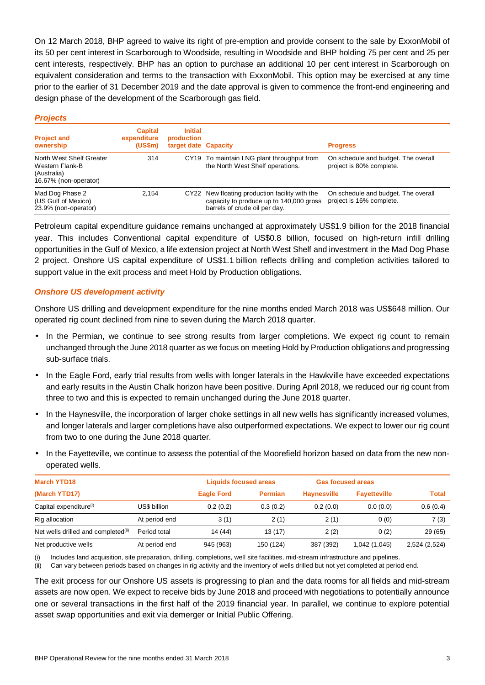On 12 March 2018, BHP agreed to waive its right of pre-emption and provide consent to the sale by ExxonMobil of its 50 per cent interest in Scarborough to Woodside, resulting in Woodside and BHP holding 75 per cent and 25 per cent interests, respectively. BHP has an option to purchase an additional 10 per cent interest in Scarborough on equivalent consideration and terms to the transaction with ExxonMobil. This option may be exercised at any time prior to the earlier of 31 December 2019 and the date approval is given to commence the front-end engineering and design phase of the development of the Scarborough gas field.

| <b>Projects</b>                                                                     |                                          |                                                      |                                                                                                                            |                                                                 |
|-------------------------------------------------------------------------------------|------------------------------------------|------------------------------------------------------|----------------------------------------------------------------------------------------------------------------------------|-----------------------------------------------------------------|
| <b>Project and</b><br>ownership                                                     | <b>Capital</b><br>expenditure<br>(US\$m) | <b>Initial</b><br>production<br>target date Capacity |                                                                                                                            | <b>Progress</b>                                                 |
| North West Shelf Greater<br>Western Flank-B<br>(Australia)<br>16.67% (non-operator) | 314                                      |                                                      | CY19 To maintain LNG plant throughput from<br>the North West Shelf operations.                                             | On schedule and budget. The overall<br>project is 80% complete. |
| Mad Dog Phase 2<br>(US Gulf of Mexico)<br>23.9% (non-operator)                      | 2.154                                    |                                                      | CY22 New floating production facility with the<br>capacity to produce up to 140,000 gross<br>barrels of crude oil per day. | On schedule and budget. The overall<br>project is 16% complete. |

Petroleum capital expenditure guidance remains unchanged at approximately US\$1.9 billion for the 2018 financial year. This includes Conventional capital expenditure of US\$0.8 billion, focused on high-return infill drilling opportunities in the Gulf of Mexico, a life extension project at North West Shelf and investment in the Mad Dog Phase 2 project. Onshore US capital expenditure of US\$1.1 billion reflects drilling and completion activities tailored to support value in the exit process and meet Hold by Production obligations.

# *Onshore US development activity*

Onshore US drilling and development expenditure for the nine months ended March 2018 was US\$648 million. Our operated rig count declined from nine to seven during the March 2018 quarter.

- In the Permian, we continue to see strong results from larger completions. We expect rig count to remain unchanged through the June 2018 quarter as we focus on meeting Hold by Production obligations and progressing sub-surface trials.
- In the Eagle Ford, early trial results from wells with longer laterals in the Hawkville have exceeded expectations and early results in the Austin Chalk horizon have been positive. During April 2018, we reduced our rig count from three to two and this is expected to remain unchanged during the June 2018 quarter.
- In the Haynesville, the incorporation of larger choke settings in all new wells has significantly increased volumes, and longer laterals and larger completions have also outperformed expectations. We expect to lower our rig count from two to one during the June 2018 quarter.
- In the Fayetteville, we continue to assess the potential of the Moorefield horizon based on data from the new nonoperated wells.

| <b>March YTD18</b>                              |               | <b>Liquids focused areas</b> |                | <b>Gas focused areas</b> |                     |               |
|-------------------------------------------------|---------------|------------------------------|----------------|--------------------------|---------------------|---------------|
| (March YTD17)                                   |               | <b>Eagle Ford</b>            | <b>Permian</b> | <b>Haynesville</b>       | <b>Fayetteville</b> | <b>Total</b>  |
| Capital expenditure <sup>(i)</sup>              | US\$ billion  | 0.2(0.2)                     | 0.3(0.2)       | 0.2(0.0)                 | 0.0(0.0)            | 0.6(0.4)      |
| Rig allocation                                  | At period end | 3(1)                         | 2(1)           | 2(1)                     | 0(0)                | 7(3)          |
| Net wells drilled and completed <sup>(ii)</sup> | Period total  | 14 (44)                      | 13 (17)        | 2(2)                     | 0(2)                | 29 (65)       |
| Net productive wells                            | At period end | 945 (963)                    | 150 (124)      | 387 (392)                | 1,042 (1,045)       | 2,524 (2,524) |

(i) Includes land acquisition, site preparation, drilling, completions, well site facilities, mid-stream infrastructure and pipelines.

(ii) Can vary between periods based on changes in rig activity and the inventory of wells drilled but not yet completed at period end.

The exit process for our Onshore US assets is progressing to plan and the data rooms for all fields and mid-stream assets are now open. We expect to receive bids by June 2018 and proceed with negotiations to potentially announce one or several transactions in the first half of the 2019 financial year. In parallel, we continue to explore potential asset swap opportunities and exit via demerger or Initial Public Offering.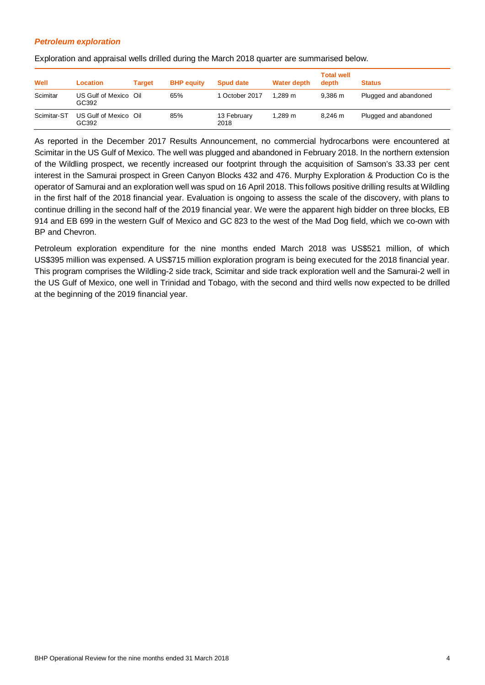## *Petroleum exploration*

Exploration and appraisal wells drilled during the March 2018 quarter are summarised below.

| Well        | <b>Location</b>                | Target | <b>BHP</b> equity | <b>Spud date</b>    | Water depth | <b>Total well</b><br>depth | <b>Status</b>         |
|-------------|--------------------------------|--------|-------------------|---------------------|-------------|----------------------------|-----------------------|
| Scimitar    | US Gulf of Mexico Oil<br>GC392 |        | 65%               | 1 October 2017      | 1.289 m     | 9.386 m                    | Plugged and abandoned |
| Scimitar-ST | US Gulf of Mexico Oil<br>GC392 |        | 85%               | 13 February<br>2018 | 1.289 m     | 8.246 m                    | Plugged and abandoned |

As reported in the December 2017 Results Announcement, no commercial hydrocarbons were encountered at Scimitar in the US Gulf of Mexico. The well was plugged and abandoned in February 2018. In the northern extension of the Wildling prospect, we recently increased our footprint through the acquisition of Samson's 33.33 per cent interest in the Samurai prospect in Green Canyon Blocks 432 and 476. Murphy Exploration & Production Co is the operator of Samurai and an exploration well was spud on 16 April 2018. This follows positive drilling results at Wildling in the first half of the 2018 financial year. Evaluation is ongoing to assess the scale of the discovery, with plans to continue drilling in the second half of the 2019 financial year. We were the apparent high bidder on three blocks, EB 914 and EB 699 in the western Gulf of Mexico and GC 823 to the west of the Mad Dog field, which we co-own with BP and Chevron.

Petroleum exploration expenditure for the nine months ended March 2018 was US\$521 million, of which US\$395 million was expensed. A US\$715 million exploration program is being executed for the 2018 financial year. This program comprises the Wildling-2 side track, Scimitar and side track exploration well and the Samurai-2 well in the US Gulf of Mexico, one well in Trinidad and Tobago, with the second and third wells now expected to be drilled at the beginning of the 2019 financial year.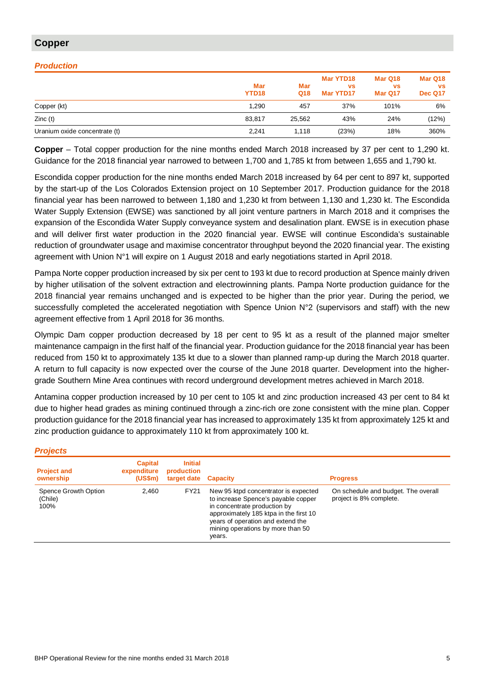# **Copper**

# *Production*

|                               | Mar<br>YTD <sub>18</sub> | Mar<br>Q18 | Mar YTD18<br><b>VS</b><br>Mar YTD17 | Mar Q18<br><b>VS</b><br>Mar Q17 | Mar Q18<br><b>VS</b><br><b>Dec Q17</b> |
|-------------------------------|--------------------------|------------|-------------------------------------|---------------------------------|----------------------------------------|
| Copper (kt)                   | 1.290                    | 457        | 37%                                 | 101%                            | 6%                                     |
| Zinc(t)                       | 83.817                   | 25.562     | 43%                                 | 24%                             | (12%)                                  |
| Uranium oxide concentrate (t) | 2,241                    | 1.118      | (23%)                               | 18%                             | 360%                                   |

**Copper** – Total copper production for the nine months ended March 2018 increased by 37 per cent to 1,290 kt. Guidance for the 2018 financial year narrowed to between 1,700 and 1,785 kt from between 1,655 and 1,790 kt.

Escondida copper production for the nine months ended March 2018 increased by 64 per cent to 897 kt, supported by the start-up of the Los Colorados Extension project on 10 September 2017. Production guidance for the 2018 financial year has been narrowed to between 1,180 and 1,230 kt from between 1,130 and 1,230 kt. The Escondida Water Supply Extension (EWSE) was sanctioned by all joint venture partners in March 2018 and it comprises the expansion of the Escondida Water Supply conveyance system and desalination plant. EWSE is in execution phase and will deliver first water production in the 2020 financial year. EWSE will continue Escondida's sustainable reduction of groundwater usage and maximise concentrator throughput beyond the 2020 financial year. The existing agreement with Union N°1 will expire on 1 August 2018 and early negotiations started in April 2018.

Pampa Norte copper production increased by six per cent to 193 kt due to record production at Spence mainly driven by higher utilisation of the solvent extraction and electrowinning plants. Pampa Norte production guidance for the 2018 financial year remains unchanged and is expected to be higher than the prior year. During the period, we successfully completed the accelerated negotiation with Spence Union N°2 (supervisors and staff) with the new agreement effective from 1 April 2018 for 36 months.

Olympic Dam copper production decreased by 18 per cent to 95 kt as a result of the planned major smelter maintenance campaign in the first half of the financial year. Production guidance for the 2018 financial year has been reduced from 150 kt to approximately 135 kt due to a slower than planned ramp-up during the March 2018 quarter. A return to full capacity is now expected over the course of the June 2018 quarter. Development into the highergrade Southern Mine Area continues with record underground development metres achieved in March 2018.

Antamina copper production increased by 10 per cent to 105 kt and zinc production increased 43 per cent to 84 kt due to higher head grades as mining continued through a zinc-rich ore zone consistent with the mine plan. Copper production guidance for the 2018 financial year has increased to approximately 135 kt from approximately 125 kt and zinc production guidance to approximately 110 kt from approximately 100 kt.

#### *Projects*

| <b>Project and</b><br>ownership         | <b>Capital</b><br>expenditure<br>(USSm) | <b>Initial</b><br>production<br>target date Capacity |                                                                                                                                                                                                                                           | <b>Progress</b>                                                |
|-----------------------------------------|-----------------------------------------|------------------------------------------------------|-------------------------------------------------------------------------------------------------------------------------------------------------------------------------------------------------------------------------------------------|----------------------------------------------------------------|
| Spence Growth Option<br>(Chile)<br>100% | 2.460                                   | <b>FY21</b>                                          | New 95 ktpd concentrator is expected<br>to increase Spence's payable copper<br>in concentrate production by<br>approximately 185 ktpa in the first 10<br>years of operation and extend the<br>mining operations by more than 50<br>years. | On schedule and budget. The overall<br>project is 8% complete. |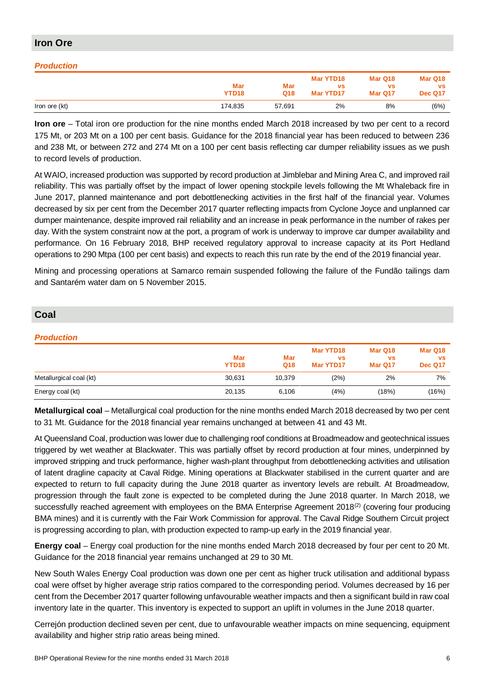# **Iron Ore**

# *Production*

|               | Mar<br>YTD <sub>18</sub> | Mar<br>Q18 | Mar YTD18<br>vs<br>Mar YTD17 | Mar Q18<br>vs<br>Mar Q17 | Mar Q18<br><b>VS</b><br>Dec Q17 |
|---------------|--------------------------|------------|------------------------------|--------------------------|---------------------------------|
| Iron ore (kt) | 174.835                  | 57,691     | 2%                           | 8%                       | (6%)                            |

**Iron ore** – Total iron ore production for the nine months ended March 2018 increased by two per cent to a record 175 Mt, or 203 Mt on a 100 per cent basis. Guidance for the 2018 financial year has been reduced to between 236 and 238 Mt, or between 272 and 274 Mt on a 100 per cent basis reflecting car dumper reliability issues as we push to record levels of production.

At WAIO, increased production was supported by record production at Jimblebar and Mining Area C, and improved rail reliability. This was partially offset by the impact of lower opening stockpile levels following the Mt Whaleback fire in June 2017, planned maintenance and port debottlenecking activities in the first half of the financial year. Volumes decreased by six per cent from the December 2017 quarter reflecting impacts from Cyclone Joyce and unplanned car dumper maintenance, despite improved rail reliability and an increase in peak performance in the number of rakes per day. With the system constraint now at the port, a program of work is underway to improve car dumper availability and performance. On 16 February 2018, BHP received regulatory approval to increase capacity at its Port Hedland operations to 290 Mtpa (100 per cent basis) and expects to reach this run rate by the end of the 2019 financial year.

Mining and processing operations at Samarco remain suspended following the failure of the Fundão tailings dam and Santarém water dam on 5 November 2015.

# **Coal**

## *Production*

|                         | Mar<br>YTD <sub>18</sub> | Mar<br>Q18 | Mar YTD18<br>VS<br>Mar YTD17 | Mar Q18<br><b>VS</b><br>Mar Q17 | Mar Q18<br><b>VS</b><br><b>Dec Q17</b> |
|-------------------------|--------------------------|------------|------------------------------|---------------------------------|----------------------------------------|
| Metallurgical coal (kt) | 30,631                   | 10,379     | (2%)                         | 2%                              | 7%                                     |
| Energy coal (kt)        | 20,135                   | 6.106      | (4%)                         | (18%)                           | (16%)                                  |

**Metallurgical coal** – Metallurgical coal production for the nine months ended March 2018 decreased by two per cent to 31 Mt. Guidance for the 2018 financial year remains unchanged at between 41 and 43 Mt.

At Queensland Coal, production was lower due to challenging roof conditions at Broadmeadow and geotechnical issues triggered by wet weather at Blackwater. This was partially offset by record production at four mines, underpinned by improved stripping and truck performance, higher wash-plant throughput from debottlenecking activities and utilisation of latent dragline capacity at Caval Ridge. Mining operations at Blackwater stabilised in the current quarter and are expected to return to full capacity during the June 2018 quarter as inventory levels are rebuilt. At Broadmeadow, progression through the fault zone is expected to be completed during the June 2018 quarter. In March 2018, we successfully reached agreement with employees on the BMA Enterprise Agreement 2018<sup>(2)</sup> (covering four producing BMA mines) and it is currently with the Fair Work Commission for approval. The Caval Ridge Southern Circuit project is progressing according to plan, with production expected to ramp-up early in the 2019 financial year.

**Energy coal** – Energy coal production for the nine months ended March 2018 decreased by four per cent to 20 Mt. Guidance for the 2018 financial year remains unchanged at 29 to 30 Mt.

New South Wales Energy Coal production was down one per cent as higher truck utilisation and additional bypass coal were offset by higher average strip ratios compared to the corresponding period. Volumes decreased by 16 per cent from the December 2017 quarter following unfavourable weather impacts and then a significant build in raw coal inventory late in the quarter. This inventory is expected to support an uplift in volumes in the June 2018 quarter.

Cerrejón production declined seven per cent, due to unfavourable weather impacts on mine sequencing, equipment availability and higher strip ratio areas being mined.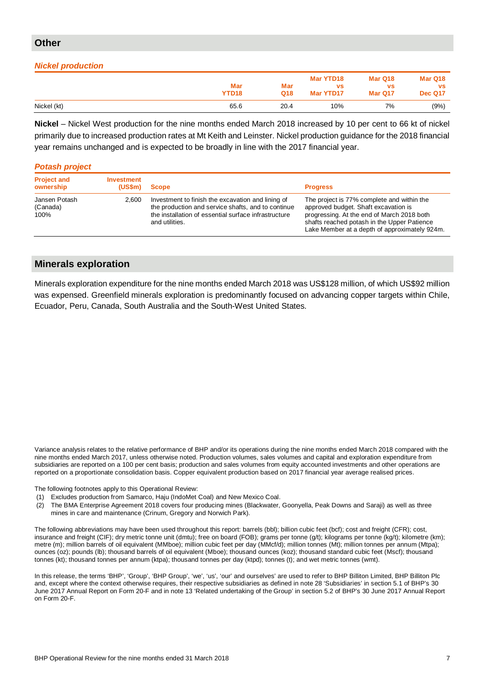# **Other**

# *Nickel production*

|             | Mar<br>YTD <sub>18</sub> | <b>Mar</b><br>Q18 | Mar YTD18<br><b>VS</b><br>Mar YTD17 | Mar Q18<br><b>VS</b><br>Mar Q17 | Mar Q18<br><b>VS</b><br><b>Dec Q17</b> |
|-------------|--------------------------|-------------------|-------------------------------------|---------------------------------|----------------------------------------|
| Nickel (kt) | 65.6                     | 20.4              | 10%                                 | 7%                              | (9%)                                   |

**Nickel** – Nickel West production for the nine months ended March 2018 increased by 10 per cent to 66 kt of nickel primarily due to increased production rates at Mt Keith and Leinster. Nickel production guidance for the 2018 financial year remains unchanged and is expected to be broadly in line with the 2017 financial year.

# *Potash project*

| <b>Project and</b><br>ownership   | Investment<br>(USSm) | Scope                                                                                                                                                                             | <b>Progress</b>                                                                                                                                                                                                                  |
|-----------------------------------|----------------------|-----------------------------------------------------------------------------------------------------------------------------------------------------------------------------------|----------------------------------------------------------------------------------------------------------------------------------------------------------------------------------------------------------------------------------|
| Jansen Potash<br>(Canada)<br>100% | 2.600                | Investment to finish the excavation and lining of<br>the production and service shafts, and to continue<br>the installation of essential surface infrastructure<br>and utilities. | The project is 77% complete and within the<br>approved budget. Shaft excavation is<br>progressing. At the end of March 2018 both<br>shafts reached potash in the Upper Patience<br>Lake Member at a depth of approximately 924m. |

# **Minerals exploration**

Minerals exploration expenditure for the nine months ended March 2018 was US\$128 million, of which US\$92 million was expensed. Greenfield minerals exploration is predominantly focused on advancing copper targets within Chile, Ecuador, Peru, Canada, South Australia and the South-West United States.

Variance analysis relates to the relative performance of BHP and/or its operations during the nine months ended March 2018 compared with the nine months ended March 2017, unless otherwise noted. Production volumes, sales volumes and capital and exploration expenditure from subsidiaries are reported on a 100 per cent basis; production and sales volumes from equity accounted investments and other operations are reported on a proportionate consolidation basis. Copper equivalent production based on 2017 financial year average realised prices.

The following footnotes apply to this Operational Review:

- (1) Excludes production from Samarco, Haju (IndoMet Coal) and New Mexico Coal.
- (2) The BMA Enterprise Agreement 2018 covers four producing mines (Blackwater, Goonyella, Peak Downs and Saraji) as well as three mines in care and maintenance (Crinum, Gregory and Norwich Park).

The following abbreviations may have been used throughout this report: barrels (bbl); billion cubic feet (bcf); cost and freight (CFR); cost, insurance and freight (CIF); dry metric tonne unit (dmtu); free on board (FOB); grams per tonne (g/t); kilograms per tonne (kg/t); kilometre (km); metre (m); million barrels of oil equivalent (MMboe); million cubic feet per day (MMcf/d); million tonnes (Mt); million tonnes per annum (Mtpa); ounces (oz); pounds (lb); thousand barrels of oil equivalent (Mboe); thousand ounces (koz); thousand standard cubic feet (Mscf); thousand tonnes (kt); thousand tonnes per annum (ktpa); thousand tonnes per day (ktpd); tonnes (t); and wet metric tonnes (wmt).

In this release, the terms 'BHP', 'Group', 'BHP Group', 'we', 'us', 'our' and ourselves' are used to refer to BHP Billiton Limited, BHP Billiton Plc and, except where the context otherwise requires, their respective subsidiaries as defined in note 28 'Subsidiaries' in section 5.1 of BHP's 30 June 2017 Annual Report on Form 20-F and in note 13 'Related undertaking of the Group' in section 5.2 of BHP's 30 June 2017 Annual Report on Form 20-F.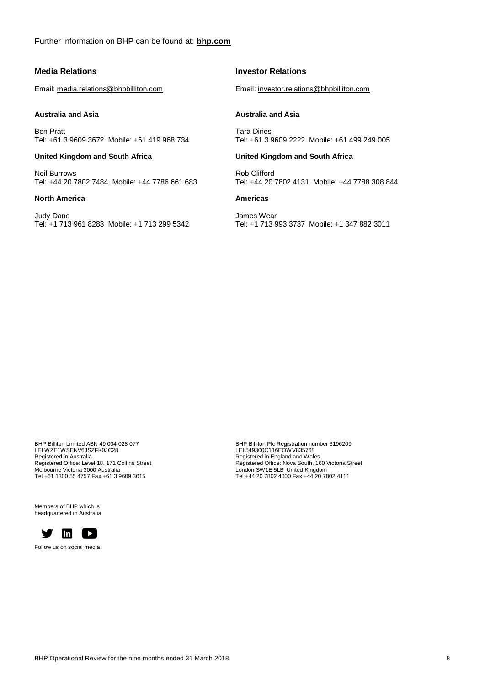#### **Media Relations**

Email: media.relations@bhpbilliton.com

#### **Australia and Asia**

Ben Pratt Tel: +61 3 9609 3672 Mobile: +61 419 968 734

## **United Kingdom and South Africa**

Neil Burrows Tel: +44 20 7802 7484 Mobile: +44 7786 661 683

#### **North America**

Judy Dane Tel: +1 713 961 8283 Mobile: +1 713 299 5342

### **Investor Relations**

Email: investor.relations@bhpbilliton.com

#### **Australia and Asia**

Tara Dines Tel: +61 3 9609 2222 Mobile: +61 499 249 005

#### **United Kingdom and South Africa**

Rob Clifford Tel: +44 20 7802 4131 Mobile: +44 7788 308 844

# **Americas**

James Wear Tel: +1 713 993 3737 Mobile: +1 347 882 3011

BHP Billiton Limited ABN 49 004 028 077 LEI WZE1WSENV6JSZFK0JC28 Registered in Australia Registered Office: Level 18, 171 Collins Street Melbourne Victoria 3000 Australia Tel +61 1300 55 4757 Fax +61 3 9609 3015

Members of BHP which is headquartered in Australia



Follow us on social media

BHP Billiton Plc Registration number 3196209 LEI 549300C116EOWV835768 Registered in England and Wales Registered Office: Nova South, 160 Victoria Street London SW1E 5LB United Kingdom Tel +44 20 7802 4000 Fax +44 20 7802 4111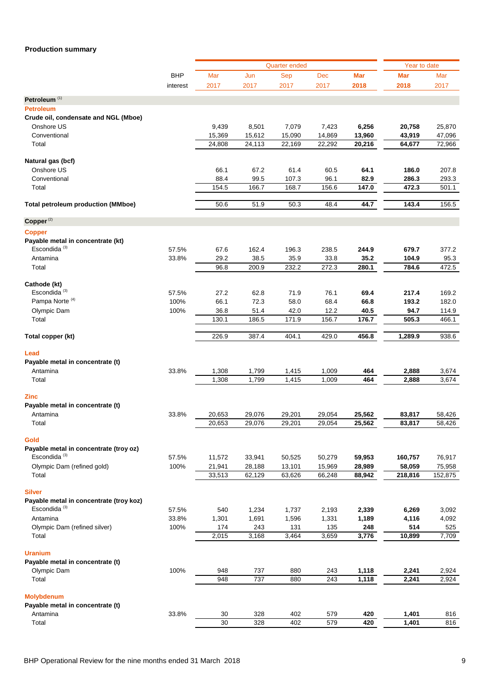# **Production summary**

|                                                            |                |              |                | <b>Quarter ended</b> |              |              | Year to date |              |
|------------------------------------------------------------|----------------|--------------|----------------|----------------------|--------------|--------------|--------------|--------------|
|                                                            | <b>BHP</b>     | Mar          | Jun            | Sep                  | Dec          | <b>Mar</b>   | Mar          | Mar          |
|                                                            | interest       | 2017         | 2017           | 2017                 | 2017         | 2018         | 2018         | 2017         |
| Petroleum <sup>(1)</sup>                                   |                |              |                |                      |              |              |              |              |
| <b>Petroleum</b>                                           |                |              |                |                      |              |              |              |              |
| Crude oil, condensate and NGL (Mboe)                       |                |              |                |                      |              |              |              |              |
| Onshore US                                                 |                | 9,439        | 8,501          | 7,079                | 7,423        | 6,256        | 20,758       | 25,870       |
| Conventional                                               |                | 15,369       | 15,612         | 15,090               | 14,869       | 13,960       | 43,919       | 47,096       |
| Total                                                      |                | 24,808       | 24,113         | 22,169               | 22,292       | 20,216       | 64,677       | 72,966       |
|                                                            |                |              |                |                      |              |              |              |              |
| Natural gas (bcf)                                          |                |              |                |                      |              |              |              |              |
| Onshore US                                                 |                | 66.1         | 67.2           | 61.4                 | 60.5         | 64.1         | 186.0        | 207.8        |
| Conventional                                               |                | 88.4         | 99.5           | 107.3                | 96.1         | 82.9         | 286.3        | 293.3        |
| Total                                                      |                | 154.5        | 166.7          | 168.7                | 156.6        | 147.0        | 472.3        | 501.1        |
|                                                            |                |              |                |                      |              |              |              |              |
| <b>Total petroleum production (MMboe)</b>                  |                | 50.6         | 51.9           | 50.3                 | 48.4         | 44.7         | 143.4        | 156.5        |
| Copper <sup>(2)</sup>                                      |                |              |                |                      |              |              |              |              |
| <b>Copper</b>                                              |                |              |                |                      |              |              |              |              |
| Payable metal in concentrate (kt)                          |                |              |                |                      |              |              |              |              |
| Escondida <sup>(3)</sup>                                   | 57.5%          | 67.6         | 162.4          | 196.3                | 238.5        | 244.9        | 679.7        | 377.2        |
| Antamina                                                   | 33.8%          | 29.2         | 38.5           | 35.9                 | 33.8         | 35.2         | 104.9        | 95.3         |
| Total                                                      |                | 96.8         | 200.9          | 232.2                | 272.3        | 280.1        | 784.6        | 472.5        |
|                                                            |                |              |                |                      |              |              |              |              |
| Cathode (kt)                                               |                |              |                |                      |              |              |              |              |
| Escondida <sup>(3)</sup>                                   | 57.5%          | 27.2         | 62.8           | 71.9                 | 76.1         | 69.4         | 217.4        | 169.2        |
| Pampa Norte <sup>(4)</sup>                                 | 100%           | 66.1         | 72.3           | 58.0                 | 68.4         | 66.8         | 193.2        | 182.0        |
| Olympic Dam                                                | 100%           | 36.8         | 51.4           | 42.0                 | 12.2         | 40.5         | 94.7         | 114.9        |
| Total                                                      |                | 130.1        | 186.5          | 171.9                | 156.7        | 176.7        | 505.3        | 466.1        |
|                                                            |                |              |                |                      |              |              |              |              |
| Total copper (kt)                                          |                | 226.9        | 387.4          | 404.1                | 429.0        | 456.8        | 1,289.9      | 938.6        |
| Lead                                                       |                |              |                |                      |              |              |              |              |
| Payable metal in concentrate (t)                           |                |              |                |                      |              |              |              |              |
| Antamina                                                   | 33.8%          | 1,308        | 1,799          | 1,415                | 1,009        | 464          | 2,888        | 3,674        |
| Total                                                      |                | 1,308        | 1,799          | 1,415                | 1,009        | 464          | 2,888        | 3,674        |
|                                                            |                |              |                |                      |              |              |              |              |
| <b>Zinc</b>                                                |                |              |                |                      |              |              |              |              |
| Payable metal in concentrate (t)                           |                |              |                |                      |              |              |              |              |
| Antamina                                                   | 33.8%          | 20,653       | 29,076         | 29,201               | 29,054       | 25,562       | 83,817       | 58,426       |
| Total                                                      |                | 20,653       | 29,076         | 29,201               | 29,054       | 25,562       | 83,817       | 58,426       |
|                                                            |                |              |                |                      |              |              |              |              |
| Gold                                                       |                |              |                |                      |              |              |              |              |
| Payable metal in concentrate (troy oz)                     |                |              |                |                      |              |              |              |              |
| Escondida $(3)$                                            | 57.5%          | 11,572       | 33,941         | 50,525               | 50,279       | 59,953       | 160,757      | 76,917       |
| Olympic Dam (refined gold)                                 | 100%           | 21,941       | 28,188         | 13,101               | 15,969       | 28,989       | 58,059       | 75,958       |
| Total                                                      |                | 33,513       | 62,129         | 63,626               | 66,248       | 88,942       | 218,816      | 152,875      |
|                                                            |                |              |                |                      |              |              |              |              |
| <b>Silver</b>                                              |                |              |                |                      |              |              |              |              |
| Payable metal in concentrate (troy koz)<br>Escondida $(3)$ |                |              |                |                      |              |              |              |              |
| Antamina                                                   | 57.5%<br>33.8% | 540          | 1,234<br>1,691 | 1,737                | 2,193        | 2,339        | 6,269        | 3,092        |
| Olympic Dam (refined silver)                               | 100%           | 1,301<br>174 | 243            | 1,596<br>131         | 1,331<br>135 | 1,189<br>248 | 4,116<br>514 | 4,092<br>525 |
| Total                                                      |                | 2,015        | 3,168          | 3,464                | 3,659        | 3,776        | 10,899       | 7,709        |
|                                                            |                |              |                |                      |              |              |              |              |
| <b>Uranium</b>                                             |                |              |                |                      |              |              |              |              |
| Payable metal in concentrate (t)                           |                |              |                |                      |              |              |              |              |
| Olympic Dam                                                | 100%           | 948          | 737            | 880                  | 243          | 1,118        | 2,241        | 2,924        |
| Total                                                      |                | 948          | 737            | 880                  | 243          | 1,118        | 2,241        | 2,924        |
|                                                            |                |              |                |                      |              |              |              |              |
| <b>Molybdenum</b>                                          |                |              |                |                      |              |              |              |              |
| Payable metal in concentrate (t)                           |                |              |                |                      |              |              |              |              |
| Antamina                                                   | 33.8%          | 30           | 328            | 402                  | 579          | 420          | 1,401        | 816          |
| Total                                                      |                | 30           | 328            | 402                  | 579          | 420          | 1,401        | 816          |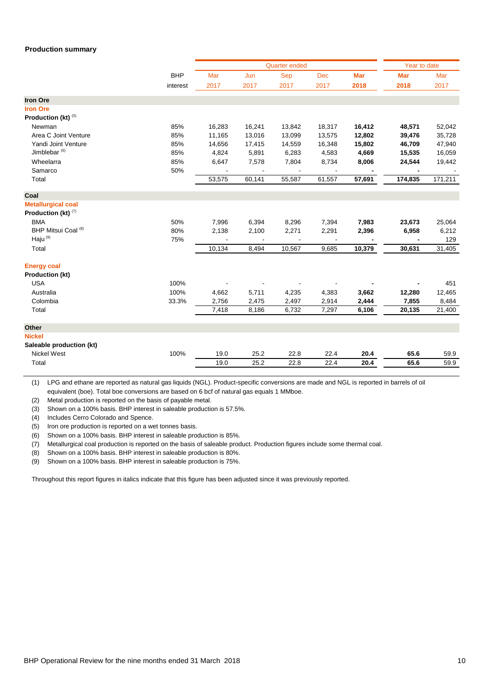#### **Production summary**

|                           |            |        |                | <b>Quarter ended</b> |            |            | Year to date |         |
|---------------------------|------------|--------|----------------|----------------------|------------|------------|--------------|---------|
|                           | <b>BHP</b> | Mar    | Jun            | Sep                  | <b>Dec</b> | <b>Mar</b> | <b>Mar</b>   | Mar     |
|                           | interest   | 2017   | 2017           | 2017                 | 2017       | 2018       | 2018         | 2017    |
| <b>Iron Ore</b>           |            |        |                |                      |            |            |              |         |
| <b>Iron Ore</b>           |            |        |                |                      |            |            |              |         |
| Production (kt) (5)       |            |        |                |                      |            |            |              |         |
| Newman                    | 85%        | 16,283 | 16,241         | 13,842               | 18,317     | 16,412     | 48,571       | 52,042  |
| Area C Joint Venture      | 85%        | 11,165 | 13,016         | 13,099               | 13,575     | 12,802     | 39,476       | 35,728  |
| Yandi Joint Venture       | 85%        | 14,656 | 17,415         | 14,559               | 16,348     | 15,802     | 46,709       | 47,940  |
| Jimblebar <sup>(6)</sup>  | 85%        | 4,824  | 5,891          | 6,283                | 4,583      | 4,669      | 15,535       | 16,059  |
| Wheelarra                 | 85%        | 6,647  | 7,578          | 7,804                | 8,734      | 8,006      | 24,544       | 19,442  |
| Samarco                   | 50%        |        |                |                      |            |            |              |         |
| Total                     |            | 53,575 | 60,141         | 55,587               | 61,557     | 57,691     | 174,835      | 171,211 |
| Coal                      |            |        |                |                      |            |            |              |         |
| <b>Metallurgical coal</b> |            |        |                |                      |            |            |              |         |
| Production (kt) (7)       |            |        |                |                      |            |            |              |         |
| <b>BMA</b>                | 50%        | 7,996  | 6,394          | 8,296                | 7,394      | 7,983      | 23,673       | 25,064  |
| BHP Mitsui Coal (8)       | 80%        | 2,138  | 2,100          | 2,271                | 2,291      | 2,396      | 6,958        | 6,212   |
| Haju <sup>(9)</sup>       | 75%        |        | $\blacksquare$ | $\blacksquare$       |            |            |              | 129     |
| Total                     |            | 10,134 | 8,494          | 10,567               | 9,685      | 10,379     | 30,631       | 31,405  |
| <b>Energy coal</b>        |            |        |                |                      |            |            |              |         |
| <b>Production (kt)</b>    |            |        |                |                      |            |            |              |         |
| <b>USA</b>                | 100%       |        |                |                      |            |            |              | 451     |
| Australia                 | 100%       | 4,662  | 5,711          | 4,235                | 4,383      | 3,662      | 12,280       | 12,465  |
| Colombia                  | 33.3%      | 2,756  | 2,475          | 2,497                | 2,914      | 2,444      | 7,855        | 8,484   |
| Total                     |            | 7,418  | 8,186          | 6,732                | 7,297      | 6,106      | 20,135       | 21,400  |
|                           |            |        |                |                      |            |            |              |         |
| Other                     |            |        |                |                      |            |            |              |         |
| <b>Nickel</b>             |            |        |                |                      |            |            |              |         |
| Saleable production (kt)  |            |        |                |                      |            |            |              |         |
| <b>Nickel West</b>        | 100%       | 19.0   | 25.2           | 22.8                 | 22.4       | 20.4       | 65.6         | 59.9    |
| Total                     |            | 19.0   | 25.2           | 22.8                 | 22.4       | 20.4       | 65.6         | 59.9    |
|                           |            |        |                |                      |            |            |              |         |

(1) LPG and ethane are reported as natural gas liquids (NGL). Product-specific conversions are made and NGL is reported in barrels of oil equivalent (boe). Total boe conversions are based on 6 bcf of natural gas equals 1 MMboe.

(2) Metal production is reported on the basis of payable metal.

(3) Shown on a 100% basis. BHP interest in saleable production is 57.5%.

(4) Includes Cerro Colorado and Spence.

(5) Iron ore production is reported on a wet tonnes basis.

(6) Shown on a 100% basis. BHP interest in saleable production is 85%.

(7) Metallurgical coal production is reported on the basis of saleable product. Production figures include some thermal coal.

(8) Shown on a 100% basis. BHP interest in saleable production is 80%.

(9) Shown on a 100% basis. BHP interest in saleable production is 75%.

Throughout this report figures in italics indicate that this figure has been adjusted since it was previously reported.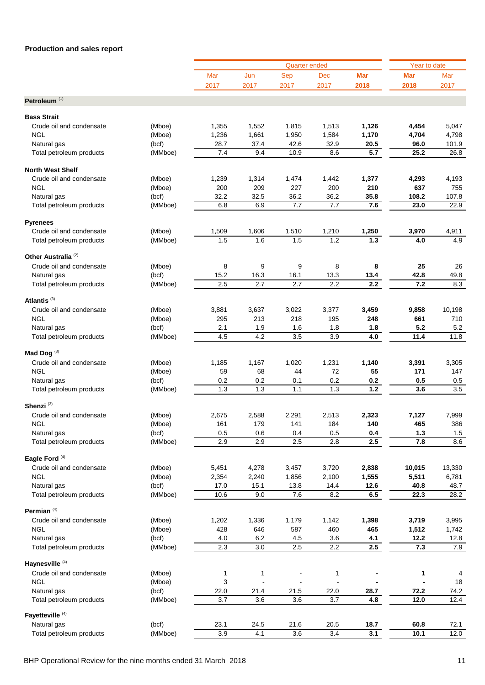|                                |         |                  |       | <b>Quarter ended</b>     |                      |            | Year to date |        |
|--------------------------------|---------|------------------|-------|--------------------------|----------------------|------------|--------------|--------|
|                                |         | Mar              | Jun   | <b>Sep</b>               | Dec                  | <b>Mar</b> | Mar          | Mar    |
|                                |         | 2017             | 2017  | 2017                     | 2017                 | 2018       | 2018         | 2017   |
|                                |         |                  |       |                          |                      |            |              |        |
| Petroleum <sup>(1)</sup>       |         |                  |       |                          |                      |            |              |        |
| <b>Bass Strait</b>             |         |                  |       |                          |                      |            |              |        |
|                                |         |                  |       |                          |                      |            |              |        |
| Crude oil and condensate       | (Mboe)  | 1,355            | 1,552 | 1,815                    | 1,513                | 1,126      | 4,454        | 5,047  |
| <b>NGL</b>                     | (Mboe)  | 1,236            | 1,661 | 1,950                    | 1,584                | 1,170      | 4,704        | 4,798  |
| Natural gas                    | (bcf)   | 28.7             | 37.4  | 42.6                     | 32.9                 | 20.5       | 96.0         | 101.9  |
| Total petroleum products       | (MMboe) | 7.4              | 9.4   | 10.9                     | 8.6                  | 5.7        | 25.2         | 26.8   |
|                                |         |                  |       |                          |                      |            |              |        |
| <b>North West Shelf</b>        |         |                  |       |                          |                      |            |              |        |
| Crude oil and condensate       | (Mboe)  | 1,239            | 1,314 | 1,474                    | 1,442                | 1,377      | 4,293        | 4,193  |
| <b>NGL</b>                     | (Mboe)  | 200              | 209   | 227                      | 200                  | 210        | 637          | 755    |
| Natural gas                    | (bcf)   | 32.2             | 32.5  | 36.2                     | 36.2                 | 35.8       | 108.2        | 107.8  |
| Total petroleum products       | (MMboe) | 6.8              | 6.9   | 7.7                      | 7.7                  | 7.6        | 23.0         | 22.9   |
|                                |         |                  |       |                          |                      |            |              |        |
| <b>Pyrenees</b>                |         |                  |       |                          |                      |            |              |        |
| Crude oil and condensate       | (Mboe)  | 1,509            | 1,606 | 1,510                    | 1,210                | 1,250      | 3,970        | 4,911  |
| Total petroleum products       | (MMboe) | 1.5              | 1.6   | 1.5                      | 1.2                  | $1.3$      | 4.0          | 4.9    |
|                                |         |                  |       |                          |                      |            |              |        |
| Other Australia <sup>(2)</sup> |         |                  |       |                          |                      |            |              |        |
| Crude oil and condensate       | (Mboe)  | 8                | 9     | 9                        | 8                    | 8          | 25           | 26     |
| Natural gas                    | (bcf)   | 15.2             | 16.3  | 16.1                     | 13.3                 | 13.4       | 42.8         | 49.8   |
| Total petroleum products       | (MMboe) | 2.5              | 2.7   | 2.7                      | 2.2                  | 2.2        | 7.2          | 8.3    |
|                                |         |                  |       |                          |                      |            |              |        |
| Atlantis <sup>(3)</sup>        |         |                  |       |                          |                      |            |              |        |
| Crude oil and condensate       | (Mboe)  | 3,881            | 3,637 | 3,022                    | 3,377                | 3,459      | 9,858        | 10,198 |
| <b>NGL</b>                     | (Mboe)  | 295              | 213   | 218                      | 195                  | 248        | 661          | 710    |
| Natural gas                    | (bcf)   | 2.1              | 1.9   | 1.6                      | 1.8                  | 1.8        | 5.2          | 5.2    |
| Total petroleum products       | (MMboe) | 4.5              | 4.2   | 3.5                      | 3.9                  | 4.0        | 11.4         | 11.8   |
|                                |         |                  |       |                          |                      |            |              |        |
| Mad Dog <sup>(3)</sup>         |         |                  |       |                          |                      |            |              |        |
| Crude oil and condensate       |         | 1,185            | 1,167 | 1,020                    | 1,231                | 1,140      | 3,391        | 3,305  |
| <b>NGL</b>                     | (Mboe)  |                  |       |                          |                      |            |              |        |
|                                | (Mboe)  | 59               | 68    | 44                       | 72                   | 55         | 171          | 147    |
| Natural gas                    | (bcf)   | 0.2              | 0.2   | 0.1                      | 0.2                  | 0.2        | 0.5          | 0.5    |
| Total petroleum products       | (MMboe) | 1.3              | 1.3   | 1.1                      | 1.3                  | 1.2        | 3.6          | 3.5    |
| Shenzi <sup>(3)</sup>          |         |                  |       |                          |                      |            |              |        |
|                                |         |                  |       |                          |                      |            |              |        |
| Crude oil and condensate       | (Mboe)  | 2,675            | 2,588 | 2,291                    | 2,513                | 2,323      | 7,127        | 7,999  |
| NGL                            | (Mboe)  | 161              | 179   | 141                      | 184                  | 140        | 465          | 386    |
| Natural gas                    | (bcf)   | 0.5              | 0.6   | 0.4                      | 0.5                  | 0.4        | $1.3$        | 1.5    |
| Total petroleum products       | (MMboe) | 2.9              | 2.9   | 2.5                      | 2.8                  | 2.5        | 7.8          | 8.6    |
|                                |         |                  |       |                          |                      |            |              |        |
| Eagle Ford <sup>(4)</sup>      |         |                  |       |                          |                      |            |              |        |
| Crude oil and condensate       | (Mboe)  | 5,451            | 4,278 | 3,457                    | 3,720                | 2,838      | 10,015       | 13,330 |
| <b>NGL</b>                     | (Mboe)  | 2,354            | 2,240 | 1,856                    | 2,100                | 1,555      | 5,511        | 6,781  |
| Natural gas                    | (bcf)   | 17.0             | 15.1  | 13.8                     | 14.4                 | 12.6       | 40.8         | 48.7   |
| Total petroleum products       | (MMboe) | 10.6             | 9.0   | 7.6                      | 8.2                  | 6.5        | 22.3         | 28.2   |
|                                |         |                  |       |                          |                      |            |              |        |
| Permian $(4)$                  |         |                  |       |                          |                      |            |              |        |
| Crude oil and condensate       | (Mboe)  | 1,202            | 1,336 | 1,179                    | 1,142                | 1,398      | 3,719        | 3,995  |
| <b>NGL</b>                     | (Mboe)  | 428              | 646   | 587                      | 460                  | 465        | 1,512        | 1,742  |
| Natural gas                    | (bcf)   | 4.0              | 6.2   | 4.5                      | 3.6                  | 4.1        | 12.2         | 12.8   |
| Total petroleum products       | (MMboe) | 2.3              | 3.0   | 2.5                      | 2.2                  | 2.5        | 7.3          | 7.9    |
|                                |         |                  |       |                          |                      |            |              |        |
| Haynesville <sup>(4)</sup>     |         |                  |       |                          |                      |            |              |        |
| Crude oil and condensate       | (Mboe)  | 1                | 1     |                          | 1                    |            | 1            | 4      |
| <b>NGL</b>                     | (Mboe)  | 3                |       | $\overline{\phantom{a}}$ | $\ddot{\phantom{a}}$ |            |              | 18     |
| Natural gas                    | (bcf)   | 22.0             | 21.4  | 21.5                     | 22.0                 | 28.7       | 72.2         | 74.2   |
| Total petroleum products       | (MMboe) | $\overline{3.7}$ | 3.6   | 3.6                      | 3.7                  | 4.8        | 12.0         | 12.4   |
|                                |         |                  |       |                          |                      |            |              |        |
| Fayetteville <sup>(4)</sup>    |         |                  |       |                          |                      |            |              |        |
| Natural gas                    | (bcf)   | 23.1             | 24.5  | 21.6                     | 20.5                 | 18.7       | 60.8         | 72.1   |
| Total petroleum products       | (MMboe) | 3.9              | 4.1   | 3.6                      | 3.4                  | 3.1        | 10.1         | 12.0   |
|                                |         |                  |       |                          |                      |            |              |        |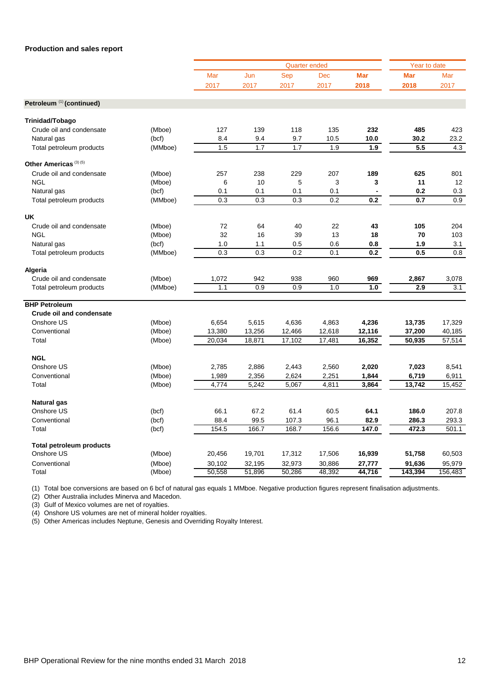|                                      |         |                  |                  | <b>Quarter ended</b> |            |            | Year to date |         |
|--------------------------------------|---------|------------------|------------------|----------------------|------------|------------|--------------|---------|
|                                      |         | Mar              | Jun              | Sep                  | <b>Dec</b> | <b>Mar</b> | <b>Mar</b>   | Mar     |
|                                      |         | 2017             | 2017             | 2017                 | 2017       | 2018       | 2018         | 2017    |
| Petroleum <sup>(1)</sup> (continued) |         |                  |                  |                      |            |            |              |         |
| Trinidad/Tobago                      |         |                  |                  |                      |            |            |              |         |
| Crude oil and condensate             | (Mboe)  | 127              | 139              | 118                  | 135        | 232        | 485          | 423     |
| Natural gas                          | (bcf)   | 8.4              | 9.4              | 9.7                  | 10.5       | 10.0       | 30.2         | 23.2    |
| Total petroleum products             | (MMboe) | 1.5              | 1.7              | 1.7                  | 1.9        | 1.9        | 5.5          | 4.3     |
| Other Americas <sup>(3)(5)</sup>     |         |                  |                  |                      |            |            |              |         |
| Crude oil and condensate             | (Mboe)  | 257              | 238              | 229                  | 207        | 189        | 625          | 801     |
| <b>NGL</b>                           | (Mboe)  | 6                | 10               | 5                    | 3          | 3          | 11           | 12      |
| Natural gas                          | (bcf)   | 0.1              | 0.1              | 0.1                  | 0.1        |            | 0.2          | 0.3     |
| Total petroleum products             | (MMboe) | 0.3              | 0.3              | 0.3                  | 0.2        | 0.2        | 0.7          | 0.9     |
| <b>UK</b>                            |         |                  |                  |                      |            |            |              |         |
| Crude oil and condensate             | (Mboe)  | 72               | 64               | 40                   | 22         | 43         | 105          | 204     |
| <b>NGL</b>                           | (Mboe)  | 32               | 16               | 39                   | 13         | 18         | 70           | 103     |
| Natural gas                          | (bcf)   | 1.0              | 1.1              | 0.5                  | 0.6        | 0.8        | 1.9          | 3.1     |
| Total petroleum products             | (MMboe) | $\overline{0.3}$ | $\overline{0.3}$ | 0.2                  | 0.1        | 0.2        | 0.5          | 0.8     |
| Algeria                              |         |                  |                  |                      |            |            |              |         |
| Crude oil and condensate             | (Mboe)  | 1,072            | 942              | 938                  | 960        | 969        | 2,867        | 3,078   |
| Total petroleum products             | (MMboe) | 1.1              | 0.9              | 0.9                  | 1.0        | 1.0        | 2.9          | 3.1     |
| <b>BHP Petroleum</b>                 |         |                  |                  |                      |            |            |              |         |
| <b>Crude oil and condensate</b>      |         |                  |                  |                      |            |            |              |         |
| Onshore US                           | (Mboe)  | 6,654            | 5,615            | 4,636                | 4,863      | 4,236      | 13,735       | 17,329  |
| Conventional                         | (Mboe)  | 13,380           | 13,256           | 12,466               | 12,618     | 12,116     | 37,200       | 40,185  |
| Total                                | (Mboe)  | 20,034           | 18,871           | 17,102               | 17,481     | 16,352     | 50,935       | 57,514  |
| <b>NGL</b>                           |         |                  |                  |                      |            |            |              |         |
| Onshore US                           | (Mboe)  | 2,785            | 2,886            | 2,443                | 2,560      | 2,020      | 7,023        | 8,541   |
| Conventional                         | (Mboe)  | 1,989            | 2,356            | 2,624                | 2,251      | 1,844      | 6,719        | 6,911   |
| Total                                | (Mboe)  | 4,774            | 5,242            | 5,067                | 4,811      | 3,864      | 13,742       | 15,452  |
| <b>Natural gas</b>                   |         |                  |                  |                      |            |            |              |         |
| Onshore US                           | (bcf)   | 66.1             | 67.2             | 61.4                 | 60.5       | 64.1       | 186.0        | 207.8   |
| Conventional                         | (bcf)   | 88.4             | 99.5             | 107.3                | 96.1       | 82.9       | 286.3        | 293.3   |
| Total                                | (bcf)   | 154.5            | 166.7            | 168.7                | 156.6      | 147.0      | 472.3        | 501.1   |
| <b>Total petroleum products</b>      |         |                  |                  |                      |            |            |              |         |
| Onshore US                           | (Mboe)  | 20,456           | 19,701           | 17,312               | 17,506     | 16,939     | 51,758       | 60,503  |
| Conventional                         | (Mboe)  | 30,102           | 32,195           | 32,973               | 30,886     | 27,777     | 91,636       | 95,979  |
| Total                                | (Mboe)  | 50,558           | 51,896           | 50,286               | 48,392     | 44,716     | 143,394      | 156,483 |
|                                      |         |                  |                  |                      |            |            |              |         |

(1) Total boe conversions are based on 6 bcf of natural gas equals 1 MMboe. Negative production figures represent finalisation adjustments.

(2) Other Australia includes Minerva and Macedon.

 $(3)$  Gulf of Mexico volumes are net of royalties.

(4) Onshore US volumes are net of mineral holder royalties.

(5) Other Americas includes Neptune, Genesis and Overriding Royalty Interest.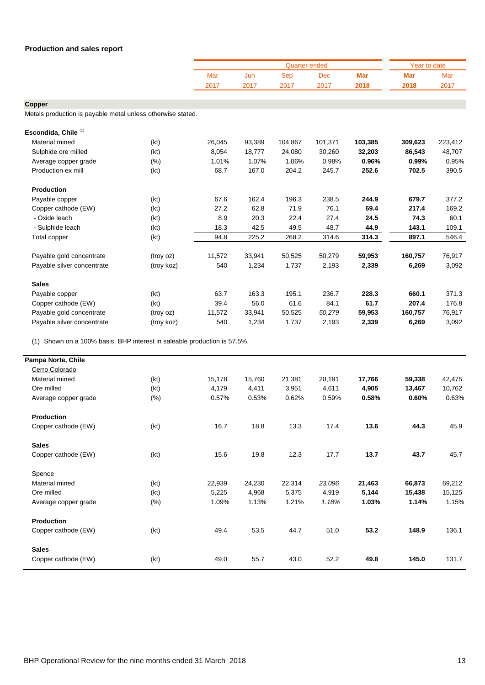|                                                                          |            |        |        | <b>Quarter ended</b> |            |            | Year to date |         |
|--------------------------------------------------------------------------|------------|--------|--------|----------------------|------------|------------|--------------|---------|
|                                                                          |            | Mar    | Jun    | <b>Sep</b>           | <b>Dec</b> | <b>Mar</b> | <b>Mar</b>   | Mar     |
|                                                                          |            | 2017   | 2017   | 2017                 | 2017       | 2018       | 2018         | 2017    |
|                                                                          |            |        |        |                      |            |            |              |         |
| Copper                                                                   |            |        |        |                      |            |            |              |         |
| Metals production is payable metal unless otherwise stated.              |            |        |        |                      |            |            |              |         |
| Escondida, Chile <sup>(1)</sup>                                          |            |        |        |                      |            |            |              |         |
| Material mined                                                           | (kt)       | 26,045 | 93,389 | 104,867              | 101,371    | 103,385    | 309,623      | 223,412 |
| Sulphide ore milled                                                      | (kt)       | 8,054  | 18,777 | 24,080               | 30,260     | 32,203     | 86,543       | 48,707  |
| Average copper grade                                                     | (% )       | 1.01%  | 1.07%  | 1.06%                | 0.98%      | 0.96%      | 0.99%        | 0.95%   |
| Production ex mill                                                       | (kt)       | 68.7   | 167.0  | 204.2                | 245.7      | 252.6      | 702.5        | 390.5   |
| <b>Production</b>                                                        |            |        |        |                      |            |            |              |         |
| Payable copper                                                           | (kt)       | 67.6   | 162.4  | 196.3                | 238.5      | 244.9      | 679.7        | 377.2   |
| Copper cathode (EW)                                                      | (kt)       | 27.2   | 62.8   | 71.9                 | 76.1       | 69.4       | 217.4        | 169.2   |
| - Oxide leach                                                            | (kt)       | 8.9    | 20.3   | 22.4                 | 27.4       | 24.5       | 74.3         | 60.1    |
| - Sulphide leach                                                         | (kt)       | 18.3   | 42.5   | 49.5                 | 48.7       | 44.9       | 143.1        | 109.1   |
| Total copper                                                             | (kt)       | 94.8   | 225.2  | 268.2                | 314.6      | 314.3      | 897.1        | 546.4   |
|                                                                          |            |        |        |                      |            |            |              |         |
| Payable gold concentrate                                                 | (troy oz)  | 11,572 | 33,941 | 50,525               | 50,279     | 59,953     | 160,757      | 76,917  |
| Payable silver concentrate                                               | (troy koz) | 540    | 1,234  | 1,737                | 2,193      | 2,339      | 6,269        | 3,092   |
| <b>Sales</b>                                                             |            |        |        |                      |            |            |              |         |
| Payable copper                                                           | (kt)       | 63.7   | 163.3  | 195.1                | 236.7      | 228.3      | 660.1        | 371.3   |
| Copper cathode (EW)                                                      | (kt)       | 39.4   | 56.0   | 61.6                 | 84.1       | 61.7       | 207.4        | 176.8   |
| Payable gold concentrate                                                 | (troy oz)  | 11,572 | 33,941 | 50,525               | 50,279     | 59,953     | 160,757      | 76,917  |
| Payable silver concentrate                                               | (troy koz) | 540    | 1,234  | 1,737                | 2,193      | 2,339      | 6,269        | 3,092   |
| (1) Shown on a 100% basis. BHP interest in saleable production is 57.5%. |            |        |        |                      |            |            |              |         |
| Pampa Norte, Chile                                                       |            |        |        |                      |            |            |              |         |
| Cerro Colorado                                                           |            |        |        |                      |            |            |              |         |
| Material mined                                                           | (kt)       | 15,178 | 15,760 | 21,381               | 20,191     | 17,766     | 59,338       | 42,475  |
| Ore milled                                                               | (kt)       | 4,179  | 4,411  | 3,951                | 4,611      | 4,905      | 13,467       | 10,762  |
| Average copper grade                                                     | (% )       | 0.57%  | 0.53%  | 0.62%                | 0.59%      | 0.58%      | 0.60%        | 0.63%   |
| Production                                                               |            |        |        |                      |            |            |              |         |
| Copper cathode (EW)                                                      | (kt)       | 16.7   | 18.8   | 13.3                 | 17.4       | 13.6       | 44.3         | 45.9    |
| <b>Sales</b>                                                             |            |        |        |                      |            |            |              |         |
| Copper cathode (EW)                                                      | (kt)       | 15.6   | 19.8   | 12.3                 | 17.7       | 13.7       | 43.7         | 45.7    |
| Spence                                                                   |            |        |        |                      |            |            |              |         |
| Material mined                                                           | (kt)       | 22,939 | 24,230 | 22,314               | 23,096     | 21,463     | 66,873       | 69,212  |
| Ore milled                                                               | (kt)       | 5,225  | 4,968  | 5,375                | 4,919      | 5,144      | 15,438       | 15,125  |
| Average copper grade                                                     | (% )       | 1.09%  | 1.13%  | 1.21%                | 1.18%      | 1.03%      | 1.14%        | 1.15%   |
| Production                                                               |            |        |        |                      |            |            |              |         |

Copper cathode (EW) (kt) 49.4 53.5 44.7 51.0 **53.2 148.9** 136.1

Copper cathode (EW) (kt) 49.0 55.7 43.0 52.2 **49.8 145.0** 131.7

**Sales**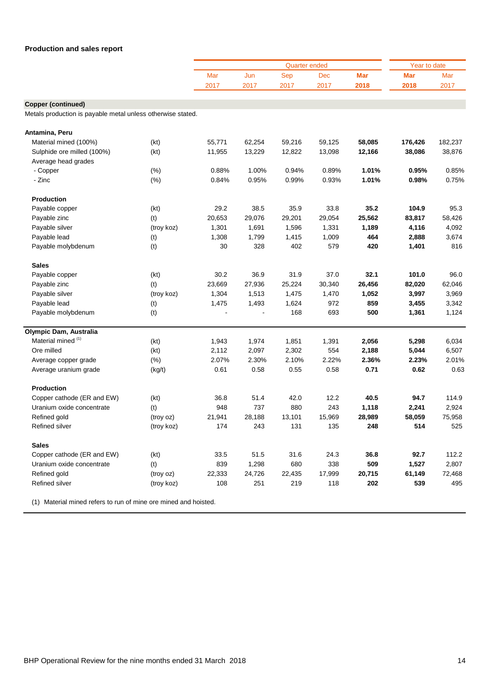|                                                             |            |        |        | Quarter ended |        |            | Year to date |         |
|-------------------------------------------------------------|------------|--------|--------|---------------|--------|------------|--------------|---------|
|                                                             |            | Mar    | Jun    | Sep           | Dec    | <b>Mar</b> | Mar          | Mar     |
|                                                             |            | 2017   | 2017   | 2017          | 2017   | 2018       | 2018         | 2017    |
|                                                             |            |        |        |               |        |            |              |         |
| <b>Copper (continued)</b>                                   |            |        |        |               |        |            |              |         |
| Metals production is payable metal unless otherwise stated. |            |        |        |               |        |            |              |         |
| Antamina, Peru                                              |            |        |        |               |        |            |              |         |
| Material mined (100%)                                       | (kt)       | 55,771 | 62,254 | 59,216        | 59,125 | 58,085     | 176,426      | 182,237 |
| Sulphide ore milled (100%)                                  | (kt)       | 11,955 | 13,229 | 12,822        | 13,098 | 12,166     | 38,086       | 38,876  |
| Average head grades                                         |            |        |        |               |        |            |              |         |
| - Copper                                                    | (% )       | 0.88%  | 1.00%  | 0.94%         | 0.89%  | 1.01%      | 0.95%        | 0.85%   |
| - Zinc                                                      | (%)        | 0.84%  | 0.95%  | 0.99%         | 0.93%  | 1.01%      | 0.98%        | 0.75%   |
| <b>Production</b>                                           |            |        |        |               |        |            |              |         |
| Payable copper                                              | (kt)       | 29.2   | 38.5   | 35.9          | 33.8   | 35.2       | 104.9        | 95.3    |
| Payable zinc                                                | (t)        | 20,653 | 29,076 | 29,201        | 29,054 | 25,562     | 83,817       | 58,426  |
| Payable silver                                              | (troy koz) | 1,301  | 1,691  | 1,596         | 1,331  | 1,189      | 4,116        | 4,092   |
| Payable lead                                                | (t)        | 1,308  | 1,799  | 1,415         | 1,009  | 464        | 2,888        | 3,674   |
| Payable molybdenum                                          | (t)        | 30     | 328    | 402           | 579    | 420        | 1,401        | 816     |
| <b>Sales</b>                                                |            |        |        |               |        |            |              |         |
| Payable copper                                              | (kt)       | 30.2   | 36.9   | 31.9          | 37.0   | 32.1       | 101.0        | 96.0    |
| Payable zinc                                                | (t)        | 23,669 | 27,936 | 25,224        | 30,340 | 26,456     | 82,020       | 62,046  |
| Payable silver                                              | (troy koz) | 1,304  | 1,513  | 1,475         | 1,470  | 1,052      | 3,997        | 3,969   |
| Payable lead                                                | (t)        | 1,475  | 1,493  | 1,624         | 972    | 859        | 3,455        | 3,342   |
| Payable molybdenum                                          | (t)        |        |        | 168           | 693    | 500        | 1,361        | 1,124   |
| Olympic Dam, Australia                                      |            |        |        |               |        |            |              |         |
| Material mined (1)                                          | (kt)       | 1,943  | 1,974  | 1,851         | 1,391  | 2,056      | 5,298        | 6,034   |
| Ore milled                                                  | (kt)       | 2,112  | 2,097  | 2,302         | 554    | 2,188      | 5,044        | 6,507   |
| Average copper grade                                        | (% )       | 2.07%  | 2.30%  | 2.10%         | 2.22%  | 2.36%      | 2.23%        | 2.01%   |
| Average uranium grade                                       | (kg/t)     | 0.61   | 0.58   | 0.55          | 0.58   | 0.71       | 0.62         | 0.63    |
| Production                                                  |            |        |        |               |        |            |              |         |
| Copper cathode (ER and EW)                                  | (kt)       | 36.8   | 51.4   | 42.0          | 12.2   | 40.5       | 94.7         | 114.9   |
| Uranium oxide concentrate                                   | (t)        | 948    | 737    | 880           | 243    | 1,118      | 2,241        | 2,924   |
| Refined gold                                                | (troy oz)  | 21,941 | 28,188 | 13,101        | 15,969 | 28,989     | 58,059       | 75,958  |
| Refined silver                                              | (troy koz) | 174    | 243    | 131           | 135    | 248        | 514          | 525     |
| <b>Sales</b>                                                |            |        |        |               |        |            |              |         |
| Copper cathode (ER and EW)                                  | (kt)       | 33.5   | 51.5   | 31.6          | 24.3   | 36.8       | 92.7         | 112.2   |
| Uranium oxide concentrate                                   | (t)        | 839    | 1,298  | 680           | 338    | 509        | 1,527        | 2,807   |
| Refined gold                                                | (troy oz)  | 22,333 | 24,726 | 22,435        | 17,999 | 20,715     | 61,149       | 72,468  |
| Refined silver                                              | (troy koz) | 108    | 251    | 219           | 118    | 202        | 539          | 495     |
|                                                             |            |        |        |               |        |            |              |         |

(1) Material mined refers to run of mine ore mined and hoisted.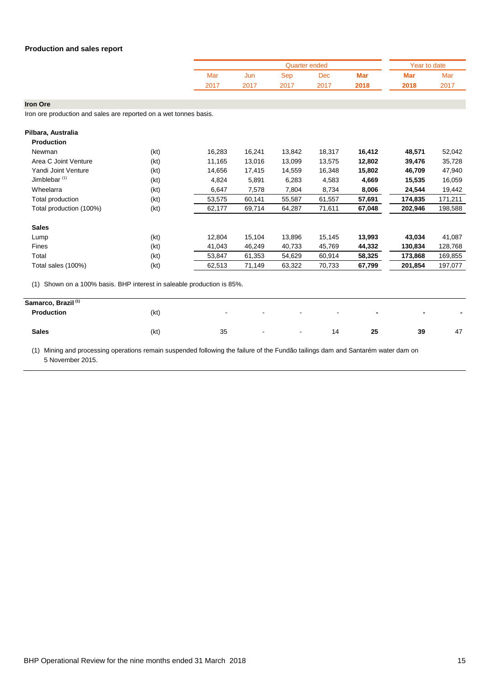|      |      |      | Quarter ended |      |      | Year to date |
|------|------|------|---------------|------|------|--------------|
| Mar  | Jun  | Sep  | Dec           | Mar  | Mar  | Mar          |
| 2017 | 2017 | 2017 | 2017          | 2018 | 2018 | 2017         |

**Iron Ore**

Iron ore production and sales are reported on a wet tonnes basis.

| <b>Production</b>        |      |        |        |        |        |        |         |         |
|--------------------------|------|--------|--------|--------|--------|--------|---------|---------|
| Newman                   | (kt) | 16,283 | 16,241 | 13,842 | 18,317 | 16,412 | 48,571  | 52,042  |
| Area C Joint Venture     | (kt) | 11,165 | 13,016 | 13,099 | 13,575 | 12,802 | 39,476  | 35,728  |
| Yandi Joint Venture      | (kt) | 14,656 | 17,415 | 14,559 | 16,348 | 15,802 | 46,709  | 47,940  |
| Jimblebar <sup>(1)</sup> | (kt) | 4,824  | 5,891  | 6,283  | 4,583  | 4,669  | 15,535  | 16,059  |
| Wheelarra                | (kt) | 6,647  | 7,578  | 7,804  | 8,734  | 8,006  | 24,544  | 19,442  |
| Total production         | (kt) | 53,575 | 60,141 | 55,587 | 61,557 | 57,691 | 174,835 | 171,211 |
| Total production (100%)  | (kt) | 62,177 | 69,714 | 64,287 | 71,611 | 67,048 | 202,946 | 198,588 |
| <b>Sales</b>             |      |        |        |        |        |        |         |         |
| Lump                     | (kt) | 12,804 | 15,104 | 13,896 | 15,145 | 13,993 | 43,034  | 41,087  |
| Fines                    | (kt) | 41,043 | 46,249 | 40,733 | 45,769 | 44,332 | 130,834 | 128,768 |
| Total                    | (kt) | 53,847 | 61,353 | 54,629 | 60,914 | 58,325 | 173,868 | 169,855 |
| Total sales (100%)       | (kt) | 62,513 | 71,149 | 63,322 | 70,733 | 67,799 | 201,854 | 197,077 |

(1) Shown on a 100% basis. BHP interest in saleable production is 85%.

| Samarco, Brazil <sup>(1)</sup> |      |                          |             |                          |                          |                          |                          |                          |
|--------------------------------|------|--------------------------|-------------|--------------------------|--------------------------|--------------------------|--------------------------|--------------------------|
| Production                     | (kt) | $\overline{\phantom{0}}$ | $\sim$      | $\sim$                   | $\overline{\phantom{0}}$ | $\overline{\phantom{0}}$ | $\overline{\phantom{0}}$ | $\overline{\phantom{a}}$ |
| <b>Sales</b>                   | (kt) | 35                       | $\,$ – $\,$ | $\overline{\phantom{0}}$ | 14                       | 25                       | 39                       | 47                       |

(1) Mining and processing operations remain suspended following the failure of the Fundão tailings dam and Santarém water dam on 5 November 2015.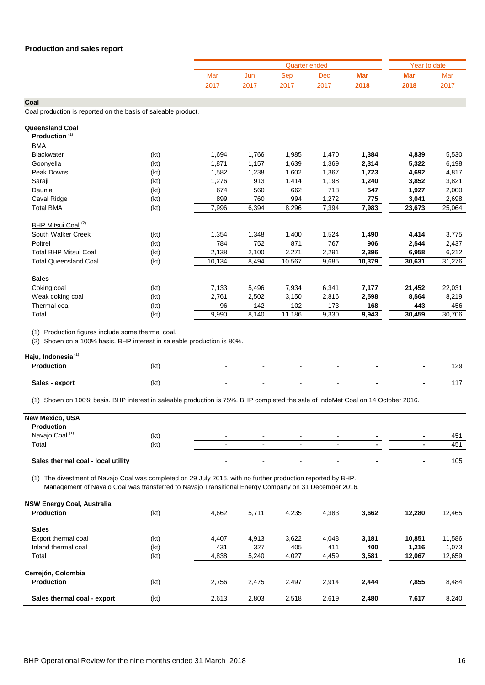|      |      |      | Quarter ended |      |      | Year to date |
|------|------|------|---------------|------|------|--------------|
| Mar  | Jun  | Sep  | <b>Dec</b>    | Mar  | Mar  | Mar          |
| 2017 | 2017 | 2017 | 2017          | 2018 | 2018 | 2017         |

Coal production is reported on the basis of saleable product.

| <b>Queensland Coal</b>         |      |        |       |        |       |        |        |        |
|--------------------------------|------|--------|-------|--------|-------|--------|--------|--------|
| Production <sup>(1)</sup>      |      |        |       |        |       |        |        |        |
| <b>BMA</b>                     |      |        |       |        |       |        |        |        |
| <b>Blackwater</b>              | (kt) | 1,694  | 1,766 | 1,985  | 1,470 | 1,384  | 4,839  | 5,530  |
| Goonyella                      | (kt) | 1,871  | 1,157 | 1,639  | 1,369 | 2,314  | 5,322  | 6,198  |
| Peak Downs                     | (kt) | 1,582  | 1,238 | 1,602  | 1,367 | 1,723  | 4,692  | 4,817  |
| Saraji                         | (kt) | 1,276  | 913   | 1,414  | 1,198 | 1,240  | 3,852  | 3,821  |
| Daunia                         | (kt) | 674    | 560   | 662    | 718   | 547    | 1,927  | 2,000  |
| Caval Ridge                    | (kt) | 899    | 760   | 994    | 1,272 | 775    | 3,041  | 2,698  |
| <b>Total BMA</b>               | (kt) | 7,996  | 6,394 | 8,296  | 7,394 | 7,983  | 23,673 | 25,064 |
| BHP Mitsui Coal <sup>(2)</sup> |      |        |       |        |       |        |        |        |
| South Walker Creek             | (kt) | 1,354  | 1,348 | 1,400  | 1,524 | 1,490  | 4,414  | 3,775  |
| Poitrel                        | (kt) | 784    | 752   | 871    | 767   | 906    | 2,544  | 2,437  |
| <b>Total BHP Mitsui Coal</b>   | (kt) | 2,138  | 2,100 | 2,271  | 2,291 | 2,396  | 6,958  | 6,212  |
| <b>Total Queensland Coal</b>   | (kt) | 10,134 | 8,494 | 10,567 | 9,685 | 10,379 | 30,631 | 31,276 |
| <b>Sales</b>                   |      |        |       |        |       |        |        |        |
| Coking coal                    | (kt) | 7,133  | 5,496 | 7,934  | 6,341 | 7,177  | 21,452 | 22,031 |
| Weak coking coal               | (kt) | 2,761  | 2,502 | 3,150  | 2,816 | 2,598  | 8,564  | 8,219  |
| Thermal coal                   | (kt) | 96     | 142   | 102    | 173   | 168    | 443    | 456    |
| Total                          | (kt) | 9,990  | 8,140 | 11,186 | 9,330 | 9,943  | 30,459 | 30,706 |
|                                |      |        |       |        |       |        |        |        |

(1) Production figures include some thermal coal.

(2) Shown on a 100% basis. BHP interest in saleable production is 80%.

| Haju, Indonesia <sup>(1)</sup> |      |        |        |        |        |                          |                          |     |
|--------------------------------|------|--------|--------|--------|--------|--------------------------|--------------------------|-----|
| Production                     | (kt) | $\sim$ | $\sim$ | $\sim$ | $\sim$ | $\overline{\phantom{a}}$ | $\overline{\phantom{0}}$ | 129 |
| Sales - export                 | (kt) | $\sim$ | $\sim$ | $\sim$ | $\sim$ | $\overline{\phantom{0}}$ | $\overline{\phantom{0}}$ | 117 |

(1) Shown on 100% basis. BHP interest in saleable production is 75%. BHP completed the sale of IndoMet Coal on 14 October 2016.

| <b>New Mexico, USA</b>             |      |        |                          |                          |                          |                          |     |
|------------------------------------|------|--------|--------------------------|--------------------------|--------------------------|--------------------------|-----|
| Production                         |      |        |                          |                          |                          |                          |     |
| Navajo Coal (1)                    | (kt) | $\sim$ | $\overline{\phantom{a}}$ | $\sim$                   | $\overline{\phantom{0}}$ | $\overline{\phantom{a}}$ | 451 |
| Total                              | (kt) |        | $\blacksquare$           | $\overline{\phantom{0}}$ | $\overline{\phantom{a}}$ | $\overline{\phantom{0}}$ | 451 |
| Sales thermal coal - local utility |      |        | $\blacksquare$           |                          | $\blacksquare$           | $\overline{\phantom{a}}$ | 105 |

(1) The divestment of Navajo Coal was completed on 29 July 2016, with no further production reported by BHP. Management of Navajo Coal was transferred to Navajo Transitional Energy Company on 31 December 2016.

| <b>NSW Energy Coal, Australia</b> |      |       |       |       |       |       |        |        |
|-----------------------------------|------|-------|-------|-------|-------|-------|--------|--------|
| <b>Production</b>                 | (kt) | 4,662 | 5,711 | 4,235 | 4,383 | 3,662 | 12,280 | 12,465 |
| <b>Sales</b>                      |      |       |       |       |       |       |        |        |
| Export thermal coal               | (kt) | 4,407 | 4,913 | 3,622 | 4.048 | 3,181 | 10,851 | 11,586 |
| Inland thermal coal               | (kt) | 431   | 327   | 405   | 411   | 400   | 1,216  | 1,073  |
| Total                             | (kt) | 4,838 | 5,240 | 4,027 | 4,459 | 3,581 | 12,067 | 12,659 |
| Cerrejón, Colombia                |      |       |       |       |       |       |        |        |
| <b>Production</b>                 | (kt) | 2,756 | 2.475 | 2,497 | 2.914 | 2,444 | 7,855  | 8,484  |
| Sales thermal coal - export       | (kt) | 2,613 | 2,803 | 2,518 | 2.619 | 2,480 | 7,617  | 8,240  |